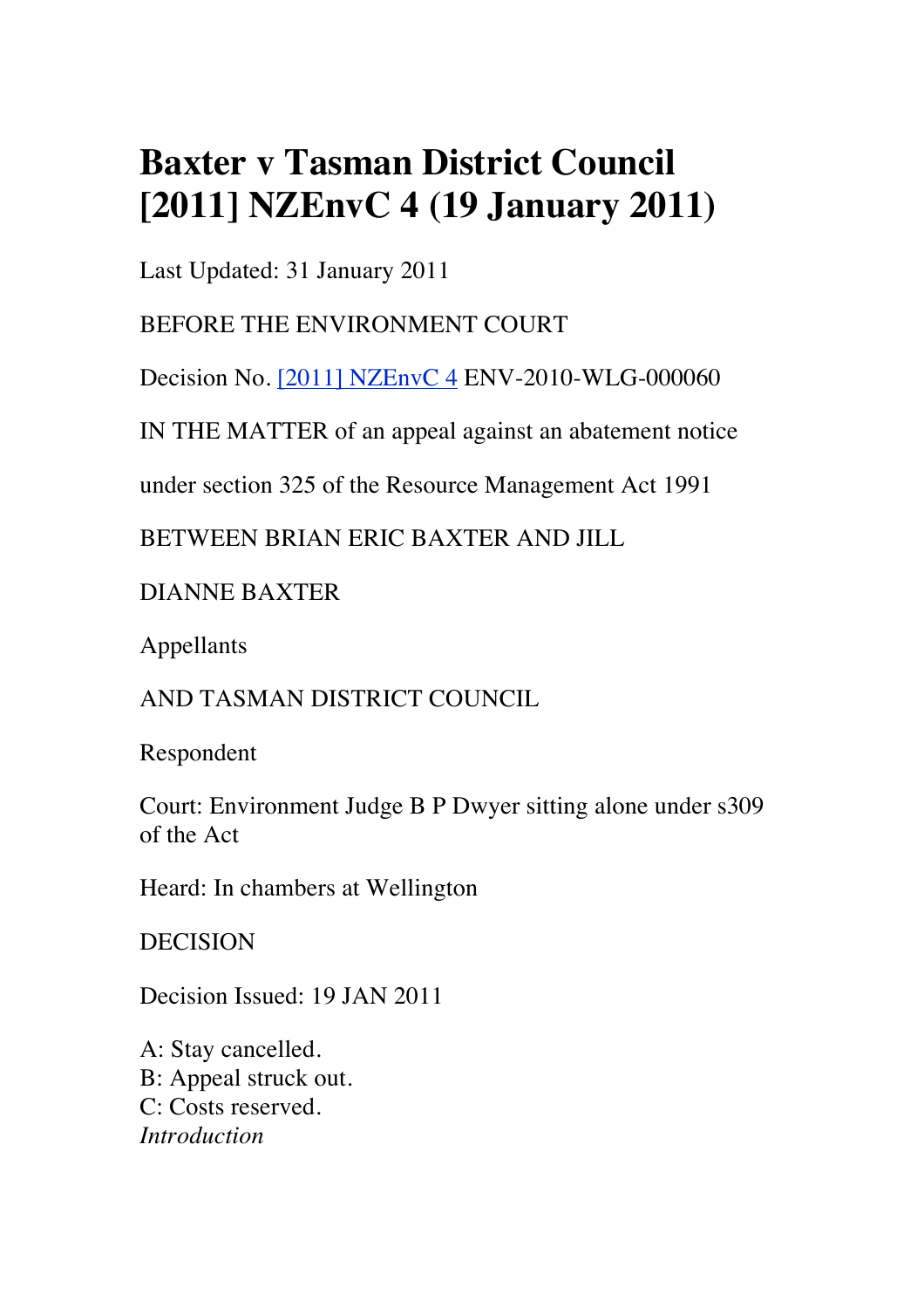## **Baxter v Tasman District Council [2011] NZEnvC 4 (19 January 2011)**

Last Updated: 31 January 2011

BEFORE THE ENVIRONMENT COURT

Decision No. [2011] NZEnvC 4 ENV-2010-WLG-000060

IN THE MATTER of an appeal against an abatement notice

under section 325 of the Resource Management Act 1991

BETWEEN BRIAN ERIC BAXTER AND JILL

DIANNE BAXTER

Appellants

AND TASMAN DISTRICT COUNCIL

Respondent

Court: Environment Judge B P Dwyer sitting alone under s309 of the Act

Heard: In chambers at Wellington

DECISION

Decision Issued: 19 JAN 2011

A: Stay cancelled. B: Appeal struck out. C: Costs reserved. *Introduction*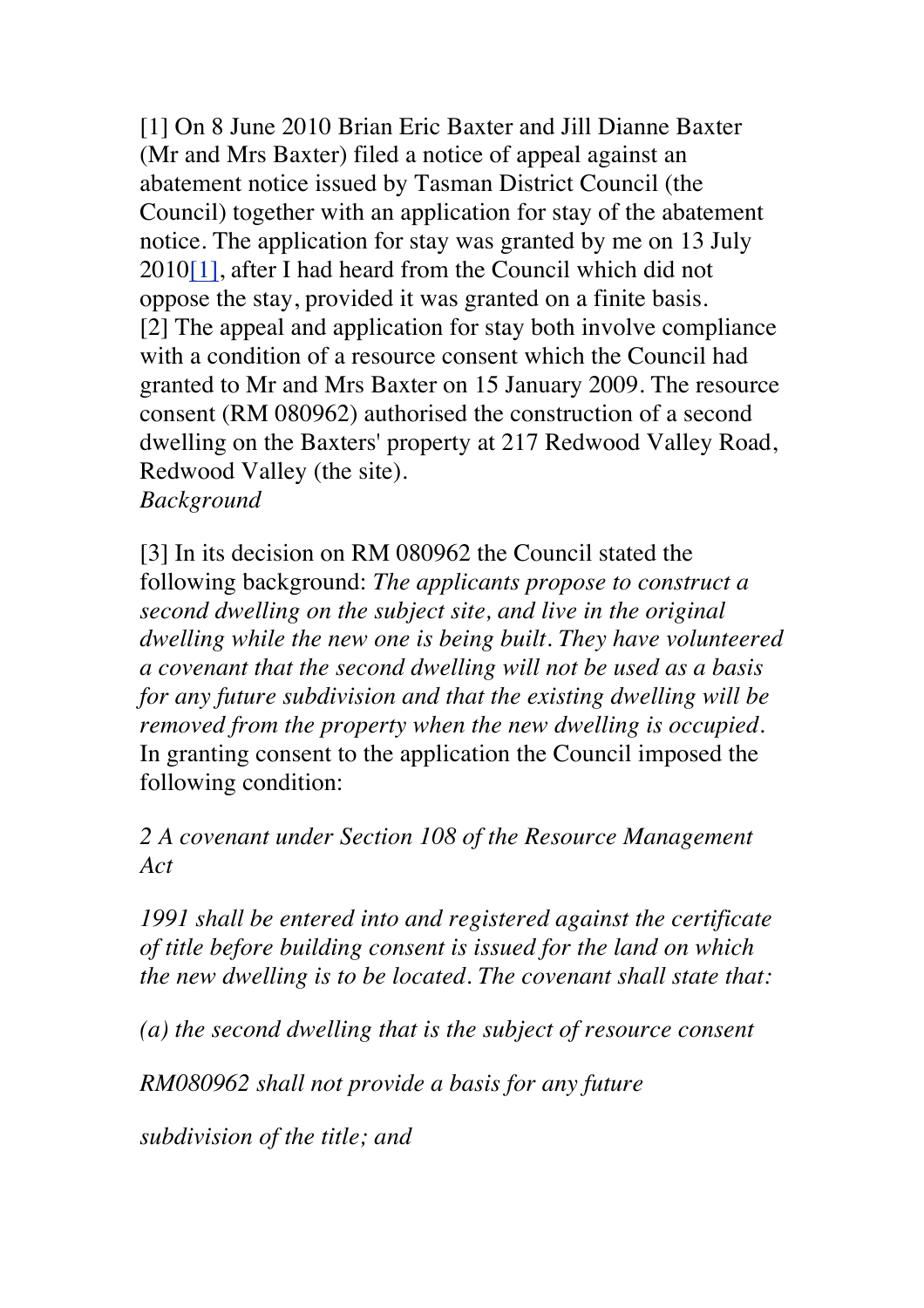[1] On 8 June 2010 Brian Eric Baxter and Jill Dianne Baxter (Mr and Mrs Baxter) filed a notice of appeal against an abatement notice issued by Tasman District Council (the Council) together with an application for stay of the abatement notice. The application for stay was granted by me on 13 July 2010[1], after I had heard from the Council which did not oppose the stay, provided it was granted on a finite basis. [2] The appeal and application for stay both involve compliance with a condition of a resource consent which the Council had granted to Mr and Mrs Baxter on 15 January 2009. The resource consent (RM 080962) authorised the construction of a second dwelling on the Baxters' property at 217 Redwood Valley Road, Redwood Valley (the site).

*Background*

[3] In its decision on RM 080962 the Council stated the following background: *The applicants propose to construct a second dwelling on the subject site, and live in the original dwelling while the new one is being built. They have volunteered a covenant that the second dwelling will not be used as a basis for any future subdivision and that the existing dwelling will be removed from the property when the new dwelling is occupied.* In granting consent to the application the Council imposed the following condition:

*2 A covenant under Section 108 of the Resource Management Act*

*1991 shall be entered into and registered against the certificate of title before building consent is issued for the land on which the new dwelling is to be located. The covenant shall state that:*

*(a) the second dwelling that is the subject of resource consent*

*RM080962 shall not provide a basis for any future*

*subdivision of the title; and*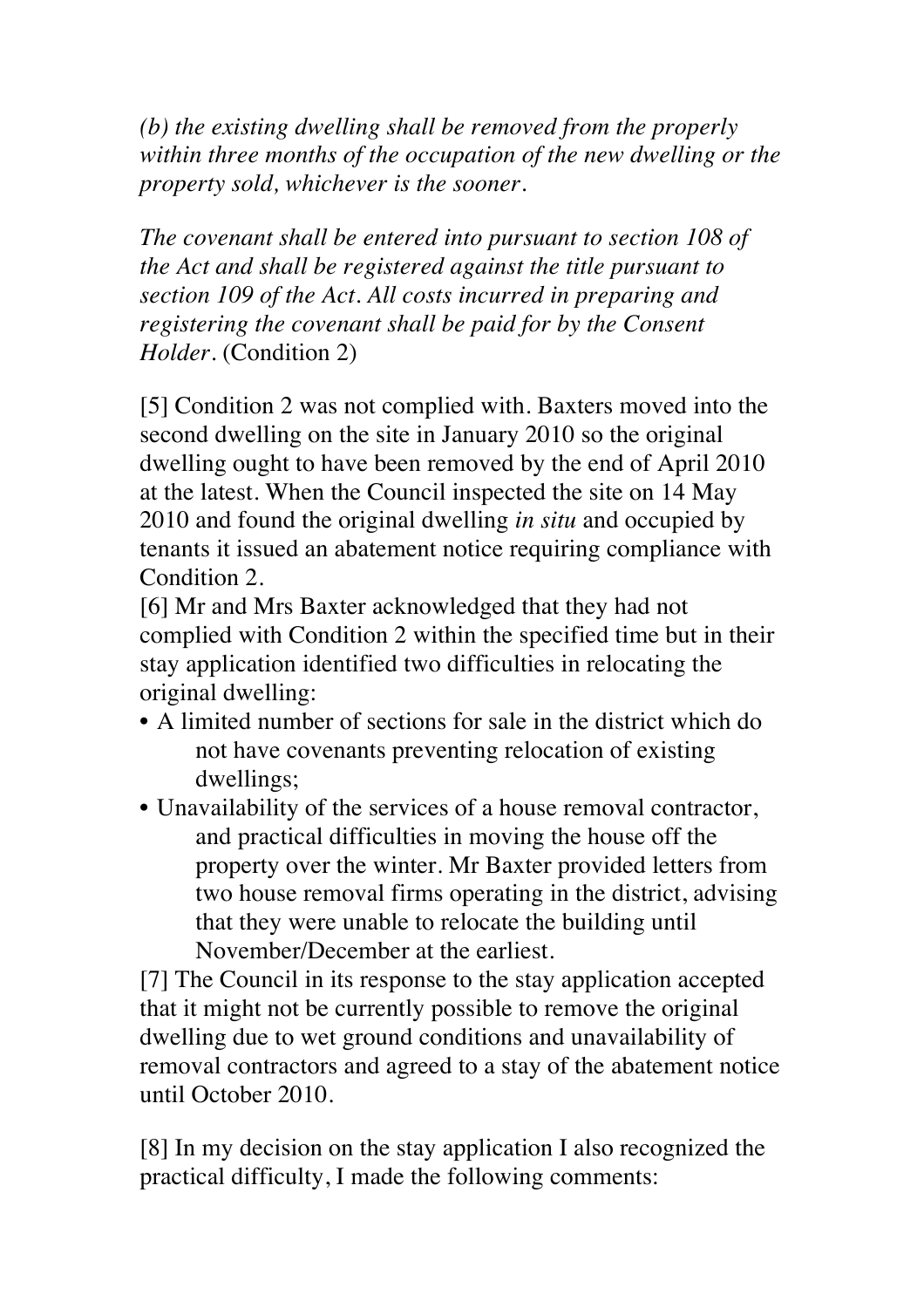*(b) the existing dwelling shall be removed from the properly within three months of the occupation of the new dwelling or the property sold, whichever is the sooner.*

*The covenant shall be entered into pursuant to section 108 of the Act and shall be registered against the title pursuant to section 109 of the Act. All costs incurred in preparing and registering the covenant shall be paid for by the Consent Holder.* (Condition 2)

[5] Condition 2 was not complied with. Baxters moved into the second dwelling on the site in January 2010 so the original dwelling ought to have been removed by the end of April 2010 at the latest. When the Council inspected the site on 14 May 2010 and found the original dwelling *in situ* and occupied by tenants it issued an abatement notice requiring compliance with Condition 2.

[6] Mr and Mrs Baxter acknowledged that they had not complied with Condition 2 within the specified time but in their stay application identified two difficulties in relocating the original dwelling:

- A limited number of sections for sale in the district which do not have covenants preventing relocation of existing dwellings;
- Unavailability of the services of a house removal contractor, and practical difficulties in moving the house off the property over the winter. Mr Baxter provided letters from two house removal firms operating in the district, advising that they were unable to relocate the building until November/December at the earliest.

[7] The Council in its response to the stay application accepted that it might not be currently possible to remove the original dwelling due to wet ground conditions and unavailability of removal contractors and agreed to a stay of the abatement notice until October 2010.

[8] In my decision on the stay application I also recognized the practical difficulty, I made the following comments: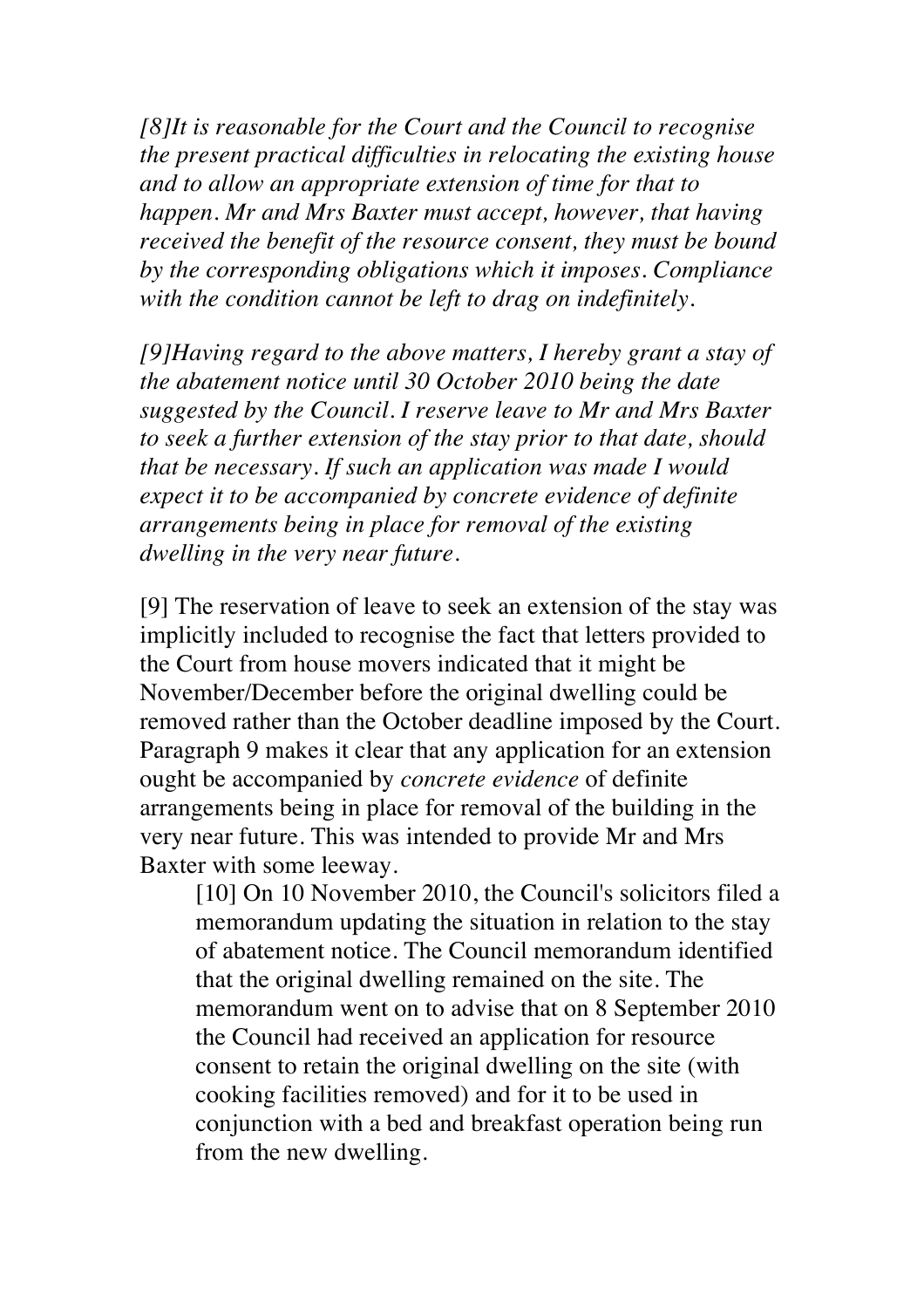*[8]It is reasonable for the Court and the Council to recognise the present practical difficulties in relocating the existing house and to allow an appropriate extension of time for that to happen. Mr and Mrs Baxter must accept, however, that having received the benefit of the resource consent, they must be bound by the corresponding obligations which it imposes. Compliance with the condition cannot be left to drag on indefinitely.*

*[9]Having regard to the above matters, I hereby grant a stay of the abatement notice until 30 October 2010 being the date suggested by the Council. I reserve leave to Mr and Mrs Baxter to seek a further extension of the stay prior to that date, should that be necessary. If such an application was made I would expect it to be accompanied by concrete evidence of definite arrangements being in place for removal of the existing dwelling in the very near future.*

[9] The reservation of leave to seek an extension of the stay was implicitly included to recognise the fact that letters provided to the Court from house movers indicated that it might be November/December before the original dwelling could be removed rather than the October deadline imposed by the Court. Paragraph 9 makes it clear that any application for an extension ought be accompanied by *concrete evidence* of definite arrangements being in place for removal of the building in the very near future. This was intended to provide Mr and Mrs Baxter with some leeway.

[10] On 10 November 2010, the Council's solicitors filed a memorandum updating the situation in relation to the stay of abatement notice. The Council memorandum identified that the original dwelling remained on the site. The memorandum went on to advise that on 8 September 2010 the Council had received an application for resource consent to retain the original dwelling on the site (with cooking facilities removed) and for it to be used in conjunction with a bed and breakfast operation being run from the new dwelling.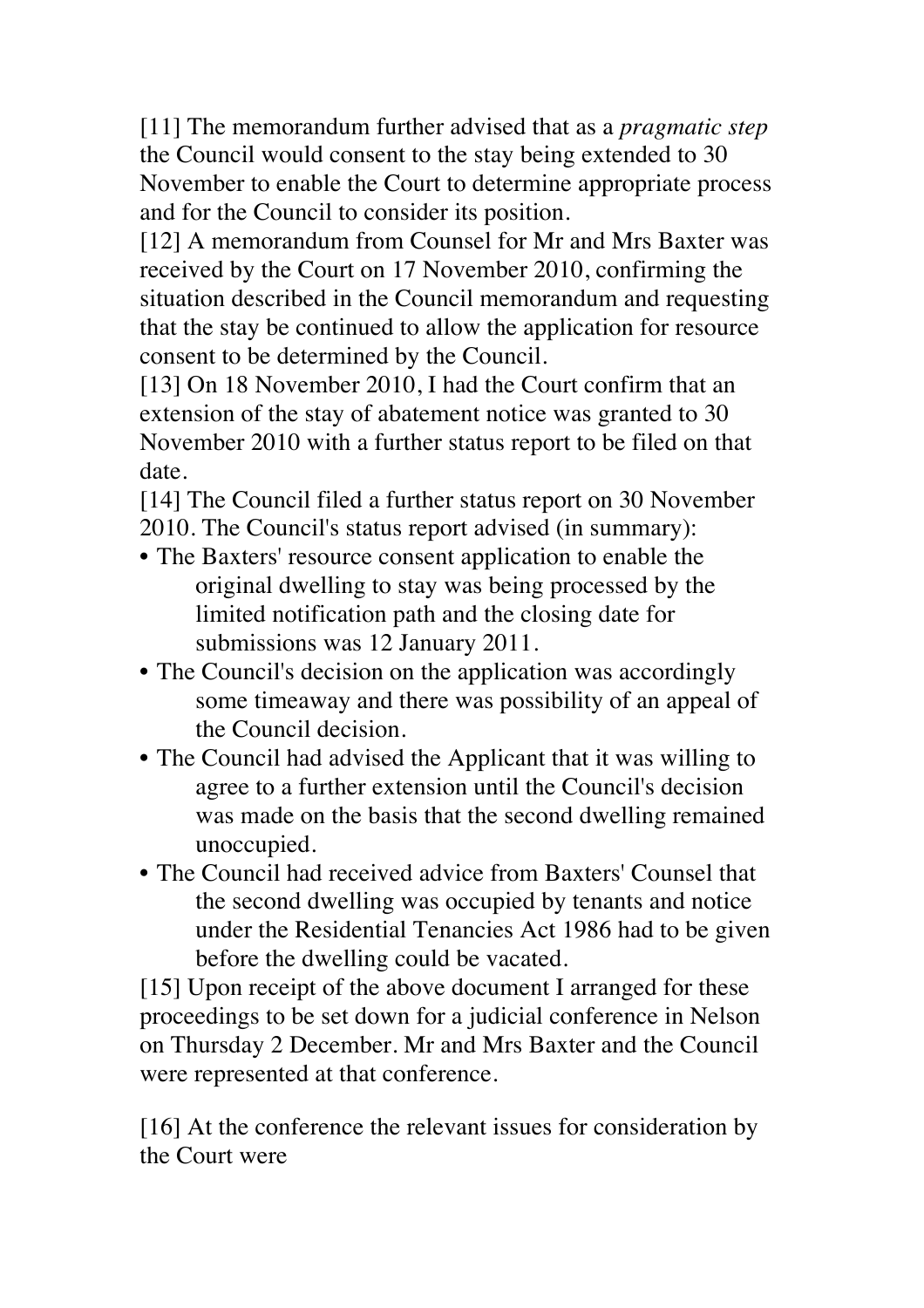[11] The memorandum further advised that as a *pragmatic step*  the Council would consent to the stay being extended to 30 November to enable the Court to determine appropriate process and for the Council to consider its position.

[12] A memorandum from Counsel for Mr and Mrs Baxter was received by the Court on 17 November 2010, confirming the situation described in the Council memorandum and requesting that the stay be continued to allow the application for resource consent to be determined by the Council.

[13] On 18 November 2010, I had the Court confirm that an extension of the stay of abatement notice was granted to 30 November 2010 with a further status report to be filed on that date.

[14] The Council filed a further status report on 30 November 2010. The Council's status report advised (in summary):

- The Baxters' resource consent application to enable the original dwelling to stay was being processed by the limited notification path and the closing date for submissions was 12 January 2011.
- The Council's decision on the application was accordingly some timeaway and there was possibility of an appeal of the Council decision.
- The Council had advised the Applicant that it was willing to agree to a further extension until the Council's decision was made on the basis that the second dwelling remained unoccupied.
- The Council had received advice from Baxters' Counsel that the second dwelling was occupied by tenants and notice under the Residential Tenancies Act 1986 had to be given before the dwelling could be vacated.

[15] Upon receipt of the above document I arranged for these proceedings to be set down for a judicial conference in Nelson on Thursday 2 December. Mr and Mrs Baxter and the Council were represented at that conference.

[16] At the conference the relevant issues for consideration by the Court were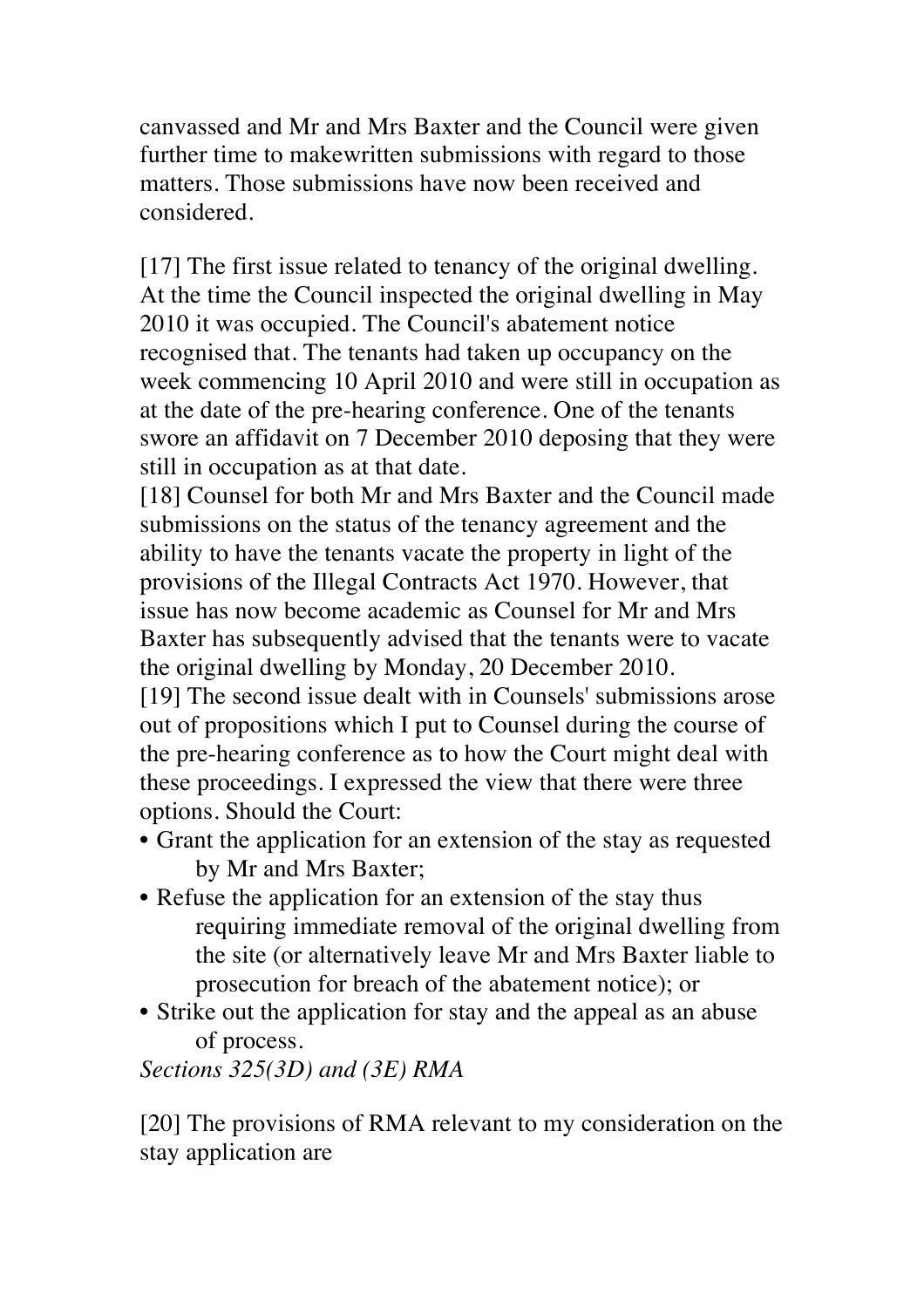canvassed and Mr and Mrs Baxter and the Council were given further time to makewritten submissions with regard to those matters. Those submissions have now been received and considered.

[17] The first issue related to tenancy of the original dwelling. At the time the Council inspected the original dwelling in May 2010 it was occupied. The Council's abatement notice recognised that. The tenants had taken up occupancy on the week commencing 10 April 2010 and were still in occupation as at the date of the pre-hearing conference. One of the tenants swore an affidavit on 7 December 2010 deposing that they were still in occupation as at that date.

[18] Counsel for both Mr and Mrs Baxter and the Council made submissions on the status of the tenancy agreement and the ability to have the tenants vacate the property in light of the provisions of the Illegal Contracts Act 1970. However, that issue has now become academic as Counsel for Mr and Mrs Baxter has subsequently advised that the tenants were to vacate the original dwelling by Monday, 20 December 2010.

[19] The second issue dealt with in Counsels' submissions arose out of propositions which I put to Counsel during the course of the pre-hearing conference as to how the Court might deal with these proceedings. I expressed the view that there were three options. Should the Court:

- Grant the application for an extension of the stay as requested by Mr and Mrs Baxter;
- Refuse the application for an extension of the stay thus requiring immediate removal of the original dwelling from the site (or alternatively leave Mr and Mrs Baxter liable to prosecution for breach of the abatement notice); or
- Strike out the application for stay and the appeal as an abuse of process.

*Sections 325(3D) and (3E) RMA*

[20] The provisions of RMA relevant to my consideration on the stay application are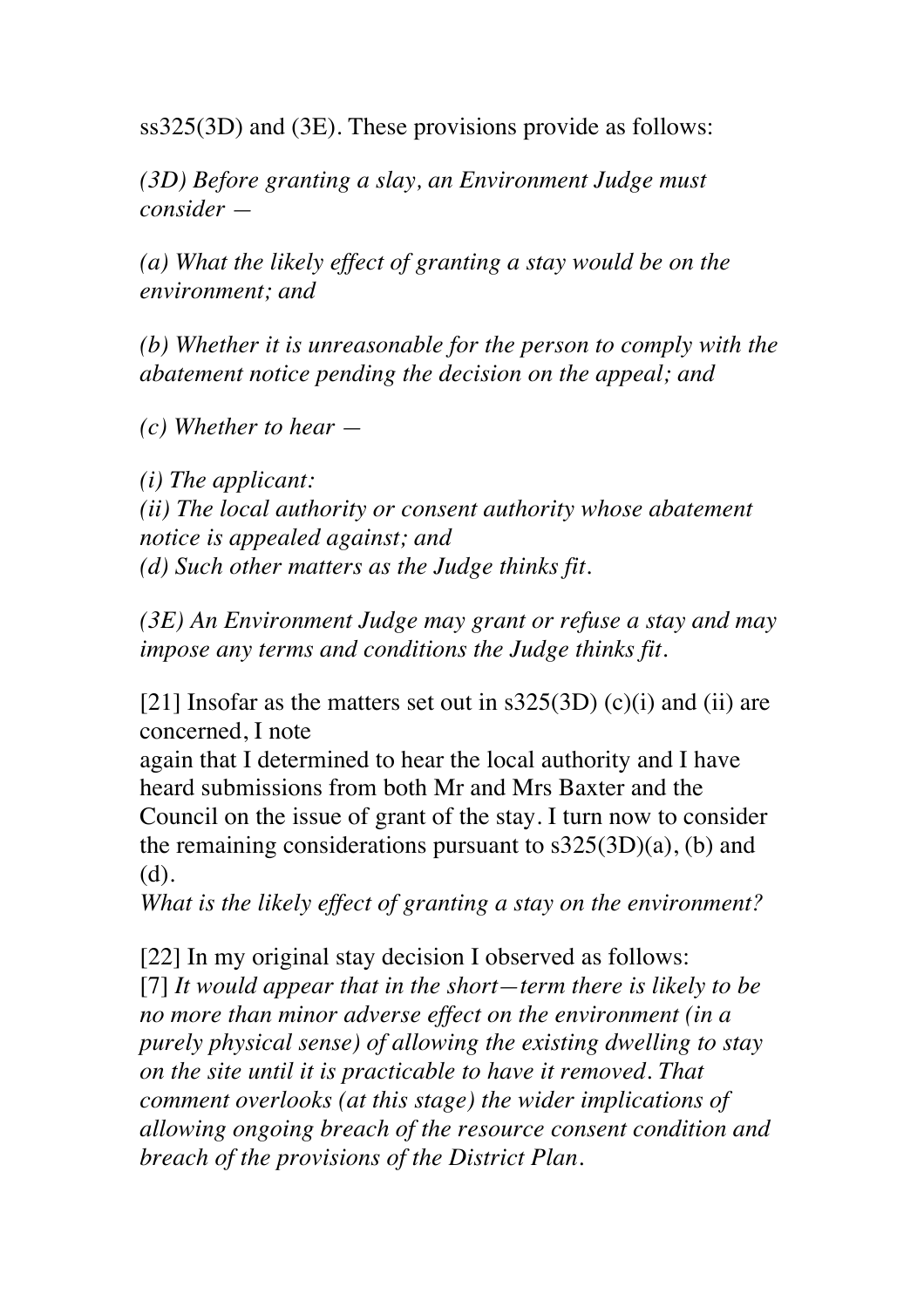ss325(3D) and (3E). These provisions provide as follows:

*(3D) Before granting a slay, an Environment Judge must consider —*

*(a) What the likely effect of granting a stay would be on the environment; and*

*(b) Whether it is unreasonable for the person to comply with the abatement notice pending the decision on the appeal; and*

*(c) Whether to hear —*

*(i) The applicant: (ii) The local authority or consent authority whose abatement notice is appealed against; and (d) Such other matters as the Judge thinks fit.*

*(3E) An Environment Judge may grant or refuse a stay and may impose any terms and conditions the Judge thinks fit.*

[21] Insofar as the matters set out in  $s325(3D)$  (c)(i) and (ii) are concerned, I note

again that I determined to hear the local authority and I have heard submissions from both Mr and Mrs Baxter and the Council on the issue of grant of the stay. I turn now to consider the remaining considerations pursuant to  $s325(3D)(a)$ , (b) and (d).

*What is the likely effect of granting a stay on the environment?*

[22] In my original stay decision I observed as follows: [7] *It would appear that in the short—term there is likely to be no more than minor adverse effect on the environment (in a purely physical sense) of allowing the existing dwelling to stay on the site until it is practicable to have it removed. That comment overlooks (at this stage) the wider implications of allowing ongoing breach of the resource consent condition and breach of the provisions of the District Plan.*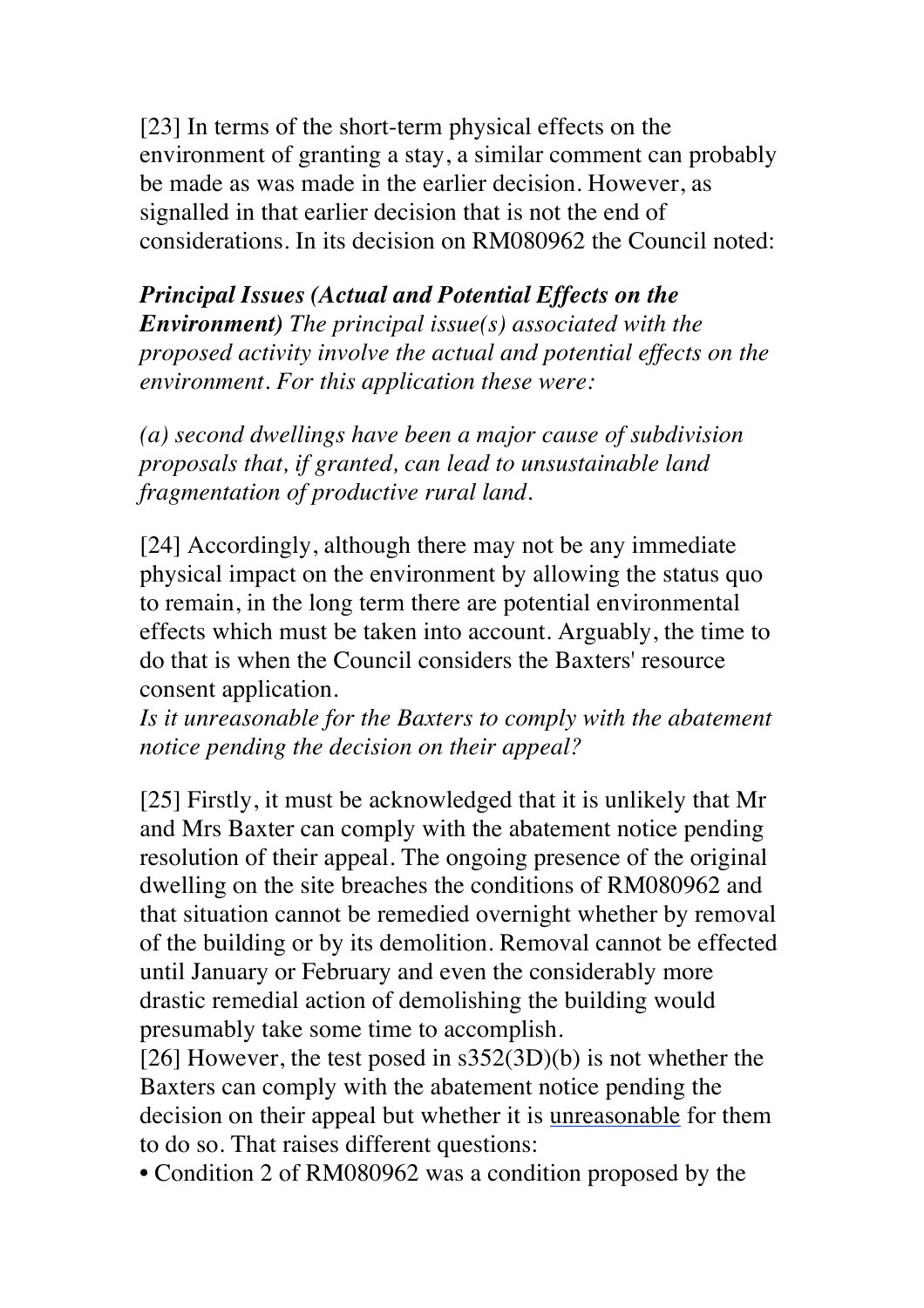[23] In terms of the short-term physical effects on the environment of granting a stay, a similar comment can probably be made as was made in the earlier decision. However, as signalled in that earlier decision that is not the end of considerations. In its decision on RM080962 the Council noted:

*Principal Issues (Actual and Potential Effects on the Environment) The principal issue(s) associated with the proposed activity involve the actual and potential effects on the environment. For this application these were:*

*(a) second dwellings have been a major cause of subdivision proposals that, if granted, can lead to unsustainable land fragmentation of productive rural land.*

[24] Accordingly, although there may not be any immediate physical impact on the environment by allowing the status quo to remain, in the long term there are potential environmental effects which must be taken into account. Arguably, the time to do that is when the Council considers the Baxters' resource consent application.

*Is it unreasonable for the Baxters to comply with the abatement notice pending the decision on their appeal?*

[25] Firstly, it must be acknowledged that it is unlikely that Mr and Mrs Baxter can comply with the abatement notice pending resolution of their appeal. The ongoing presence of the original dwelling on the site breaches the conditions of RM080962 and that situation cannot be remedied overnight whether by removal of the building or by its demolition. Removal cannot be effected until January or February and even the considerably more drastic remedial action of demolishing the building would presumably take some time to accomplish.

[26] However, the test posed in s352(3D)(b) is not whether the Baxters can comply with the abatement notice pending the decision on their appeal but whether it is unreasonable for them to do so. That raises different questions:

• Condition 2 of RM080962 was a condition proposed by the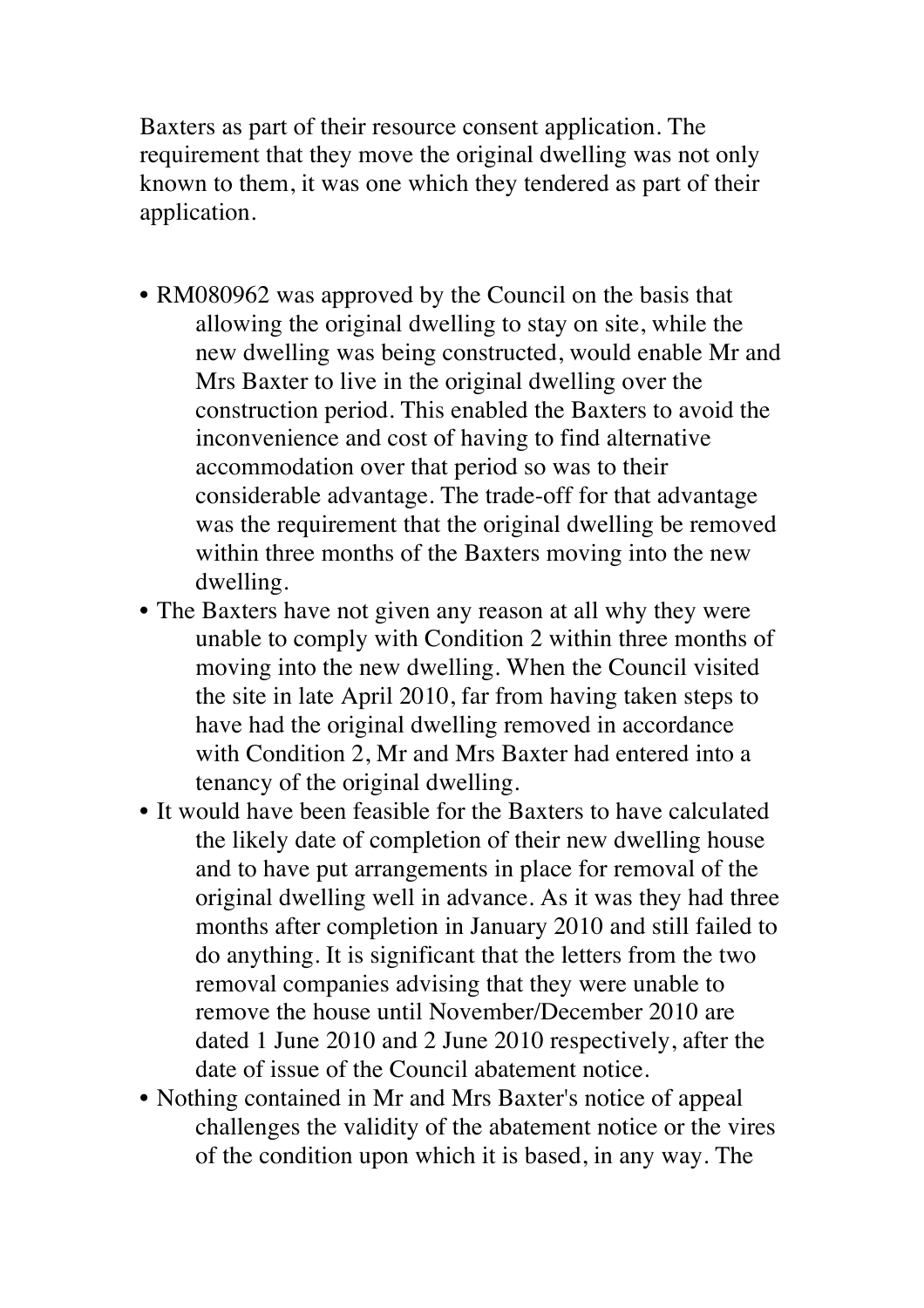Baxters as part of their resource consent application. The requirement that they move the original dwelling was not only known to them, it was one which they tendered as part of their application.

- RM080962 was approved by the Council on the basis that allowing the original dwelling to stay on site, while the new dwelling was being constructed, would enable Mr and Mrs Baxter to live in the original dwelling over the construction period. This enabled the Baxters to avoid the inconvenience and cost of having to find alternative accommodation over that period so was to their considerable advantage. The trade-off for that advantage was the requirement that the original dwelling be removed within three months of the Baxters moving into the new dwelling.
- The Baxters have not given any reason at all why they were unable to comply with Condition 2 within three months of moving into the new dwelling. When the Council visited the site in late April 2010, far from having taken steps to have had the original dwelling removed in accordance with Condition 2, Mr and Mrs Baxter had entered into a tenancy of the original dwelling.
- It would have been feasible for the Baxters to have calculated the likely date of completion of their new dwelling house and to have put arrangements in place for removal of the original dwelling well in advance. As it was they had three months after completion in January 2010 and still failed to do anything. It is significant that the letters from the two removal companies advising that they were unable to remove the house until November/December 2010 are dated 1 June 2010 and 2 June 2010 respectively, after the date of issue of the Council abatement notice.
- Nothing contained in Mr and Mrs Baxter's notice of appeal challenges the validity of the abatement notice or the vires of the condition upon which it is based, in any way. The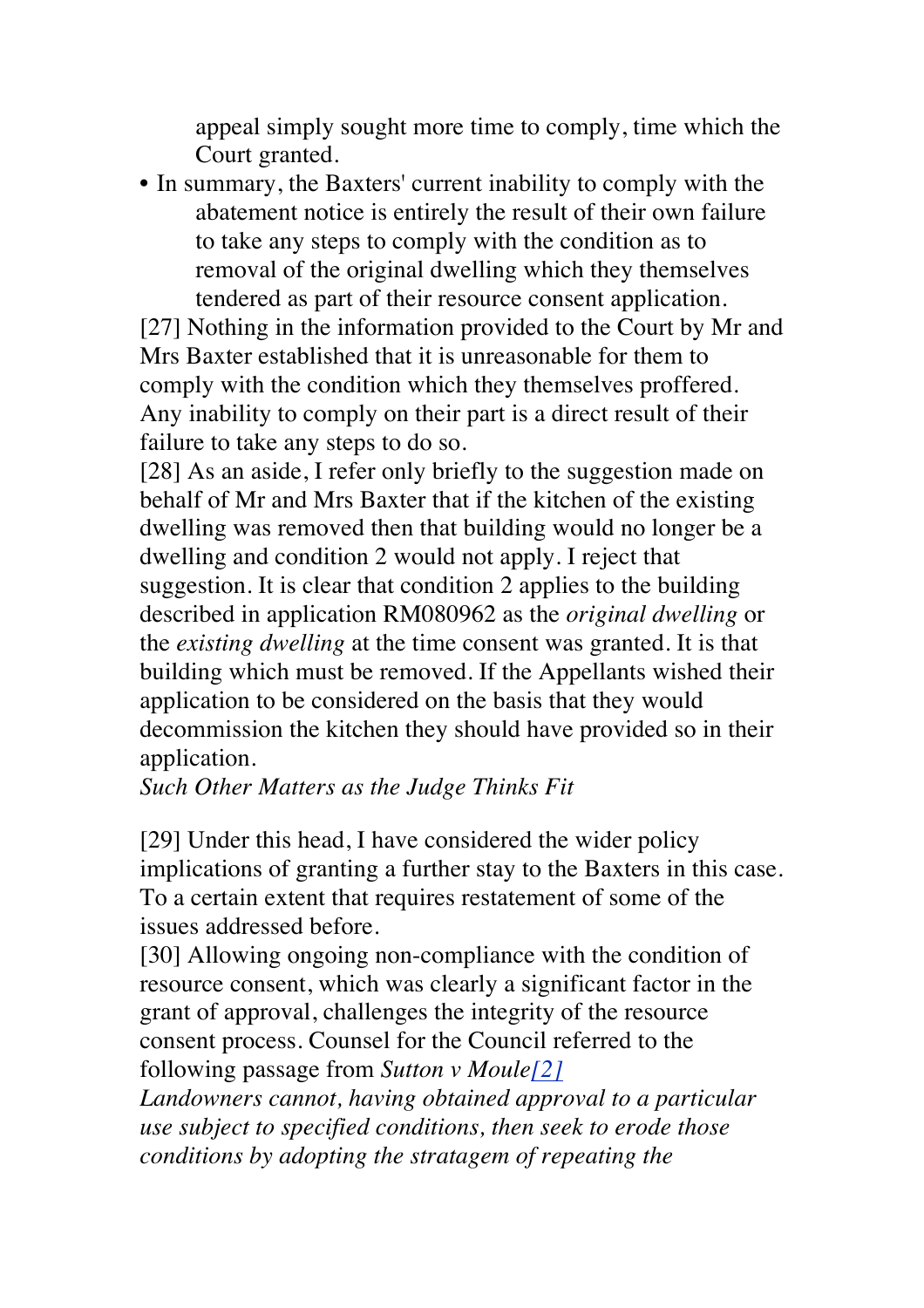appeal simply sought more time to comply, time which the Court granted.

• In summary, the Baxters' current inability to comply with the abatement notice is entirely the result of their own failure to take any steps to comply with the condition as to removal of the original dwelling which they themselves tendered as part of their resource consent application.

[27] Nothing in the information provided to the Court by Mr and Mrs Baxter established that it is unreasonable for them to comply with the condition which they themselves proffered. Any inability to comply on their part is a direct result of their failure to take any steps to do so.

[28] As an aside, I refer only briefly to the suggestion made on behalf of Mr and Mrs Baxter that if the kitchen of the existing dwelling was removed then that building would no longer be a dwelling and condition 2 would not apply. I reject that suggestion. It is clear that condition 2 applies to the building described in application RM080962 as the *original dwelling* or the *existing dwelling* at the time consent was granted. It is that building which must be removed. If the Appellants wished their application to be considered on the basis that they would decommission the kitchen they should have provided so in their application.

*Such Other Matters as the Judge Thinks Fit*

[29] Under this head, I have considered the wider policy implications of granting a further stay to the Baxters in this case. To a certain extent that requires restatement of some of the issues addressed before.

[30] Allowing ongoing non-compliance with the condition of resource consent, which was clearly a significant factor in the grant of approval, challenges the integrity of the resource consent process. Counsel for the Council referred to the following passage from *Sutton v Moule[2]*

*Landowners cannot, having obtained approval to a particular use subject to specified conditions, then seek to erode those conditions by adopting the stratagem of repeating the*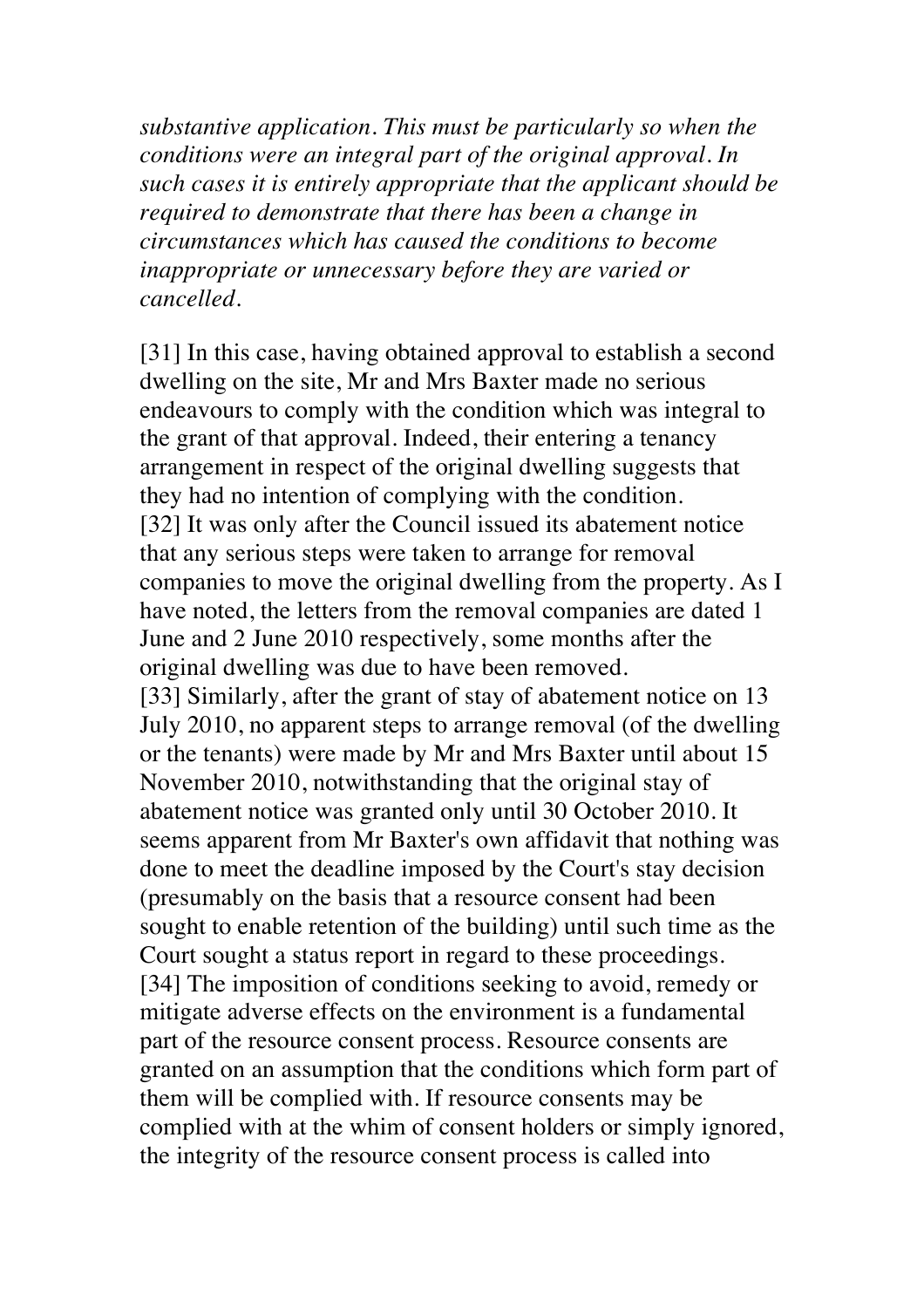*substantive application. This must be particularly so when the conditions were an integral part of the original approval. In such cases it is entirely appropriate that the applicant should be required to demonstrate that there has been a change in circumstances which has caused the conditions to become inappropriate or unnecessary before they are varied or cancelled.*

[31] In this case, having obtained approval to establish a second dwelling on the site, Mr and Mrs Baxter made no serious endeavours to comply with the condition which was integral to the grant of that approval. Indeed, their entering a tenancy arrangement in respect of the original dwelling suggests that they had no intention of complying with the condition. [32] It was only after the Council issued its abatement notice that any serious steps were taken to arrange for removal companies to move the original dwelling from the property. As I have noted, the letters from the removal companies are dated 1 June and 2 June 2010 respectively, some months after the original dwelling was due to have been removed. [33] Similarly, after the grant of stay of abatement notice on 13 July 2010, no apparent steps to arrange removal (of the dwelling or the tenants) were made by Mr and Mrs Baxter until about 15 November 2010, notwithstanding that the original stay of abatement notice was granted only until 30 October 2010. It seems apparent from Mr Baxter's own affidavit that nothing was done to meet the deadline imposed by the Court's stay decision (presumably on the basis that a resource consent had been sought to enable retention of the building) until such time as the Court sought a status report in regard to these proceedings. [34] The imposition of conditions seeking to avoid, remedy or mitigate adverse effects on the environment is a fundamental part of the resource consent process. Resource consents are granted on an assumption that the conditions which form part of them will be complied with. If resource consents may be complied with at the whim of consent holders or simply ignored, the integrity of the resource consent process is called into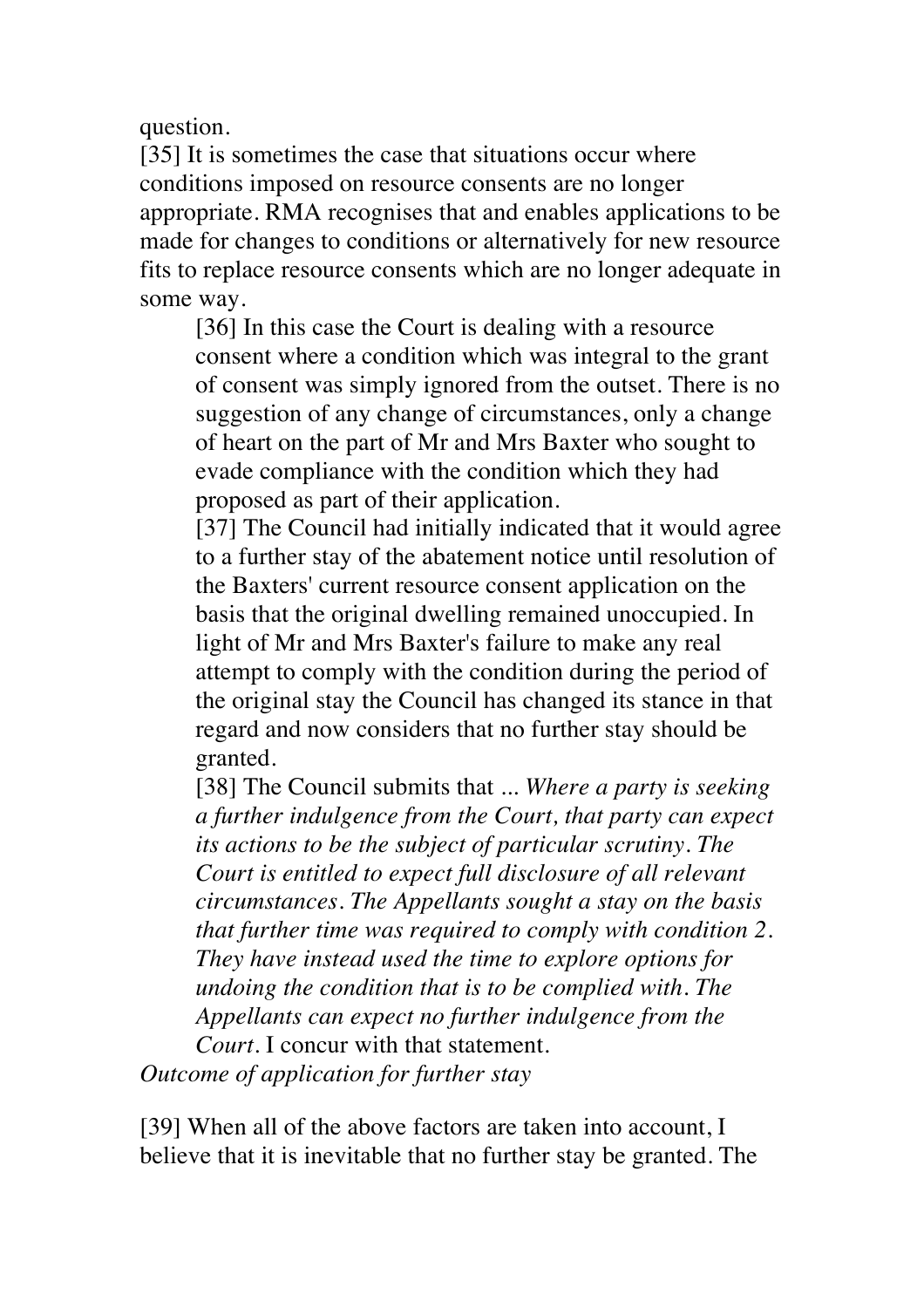question.

[35] It is sometimes the case that situations occur where conditions imposed on resource consents are no longer appropriate. RMA recognises that and enables applications to be made for changes to conditions or alternatively for new resource fits to replace resource consents which are no longer adequate in some way.

[36] In this case the Court is dealing with a resource consent where a condition which was integral to the grant of consent was simply ignored from the outset. There is no suggestion of any change of circumstances, only a change of heart on the part of Mr and Mrs Baxter who sought to evade compliance with the condition which they had proposed as part of their application.

[37] The Council had initially indicated that it would agree to a further stay of the abatement notice until resolution of the Baxters' current resource consent application on the basis that the original dwelling remained unoccupied. In light of Mr and Mrs Baxter's failure to make any real attempt to comply with the condition during the period of the original stay the Council has changed its stance in that regard and now considers that no further stay should be granted.

[38] The Council submits that ... *Where a party is seeking a further indulgence from the Court, that party can expect its actions to be the subject of particular scrutiny. The Court is entitled to expect full disclosure of all relevant circumstances. The Appellants sought a stay on the basis that further time was required to comply with condition 2. They have instead used the time to explore options for undoing the condition that is to be complied with. The Appellants can expect no further indulgence from the Court.* I concur with that statement.

*Outcome of application for further stay*

[39] When all of the above factors are taken into account, I believe that it is inevitable that no further stay be granted. The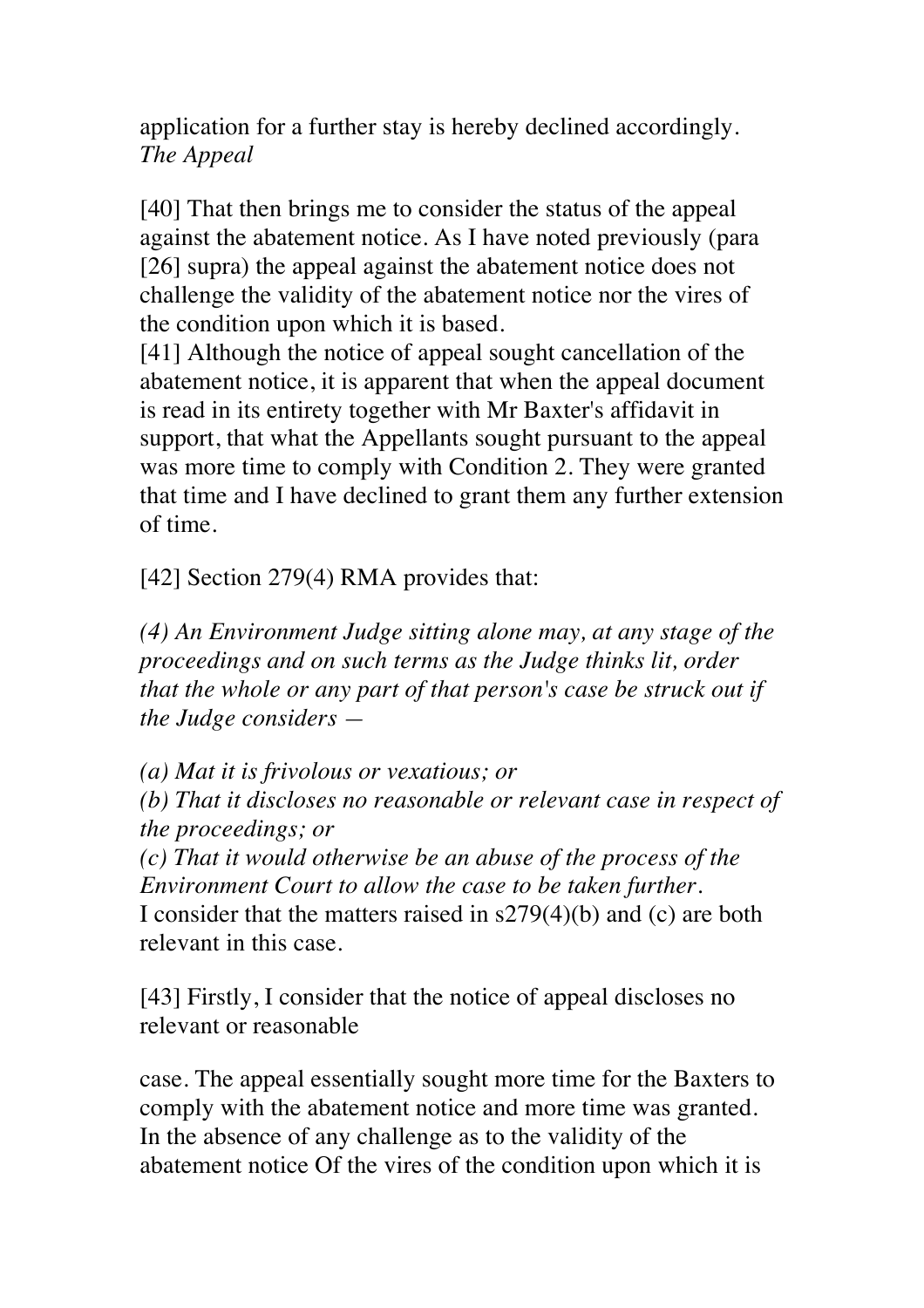application for a further stay is hereby declined accordingly. *The Appeal*

[40] That then brings me to consider the status of the appeal against the abatement notice. As I have noted previously (para [26] supra) the appeal against the abatement notice does not challenge the validity of the abatement notice nor the vires of the condition upon which it is based.

[41] Although the notice of appeal sought cancellation of the abatement notice, it is apparent that when the appeal document is read in its entirety together with Mr Baxter's affidavit in support, that what the Appellants sought pursuant to the appeal was more time to comply with Condition 2. They were granted that time and I have declined to grant them any further extension of time.

[42] Section 279(4) RMA provides that:

*(4) An Environment Judge sitting alone may, at any stage of the proceedings and on such terms as the Judge thinks lit, order that the whole or any part of that person's case be struck out if the Judge considers —*

*(a) Mat it is frivolous or vexatious; or*

*(b) That it discloses no reasonable or relevant case in respect of the proceedings; or*

*(c) That it would otherwise be an abuse of the process of the Environment Court to allow the case to be taken further.* I consider that the matters raised in s279(4)(b) and (c) are both relevant in this case.

[43] Firstly, I consider that the notice of appeal discloses no relevant or reasonable

case. The appeal essentially sought more time for the Baxters to comply with the abatement notice and more time was granted. In the absence of any challenge as to the validity of the abatement notice Of the vires of the condition upon which it is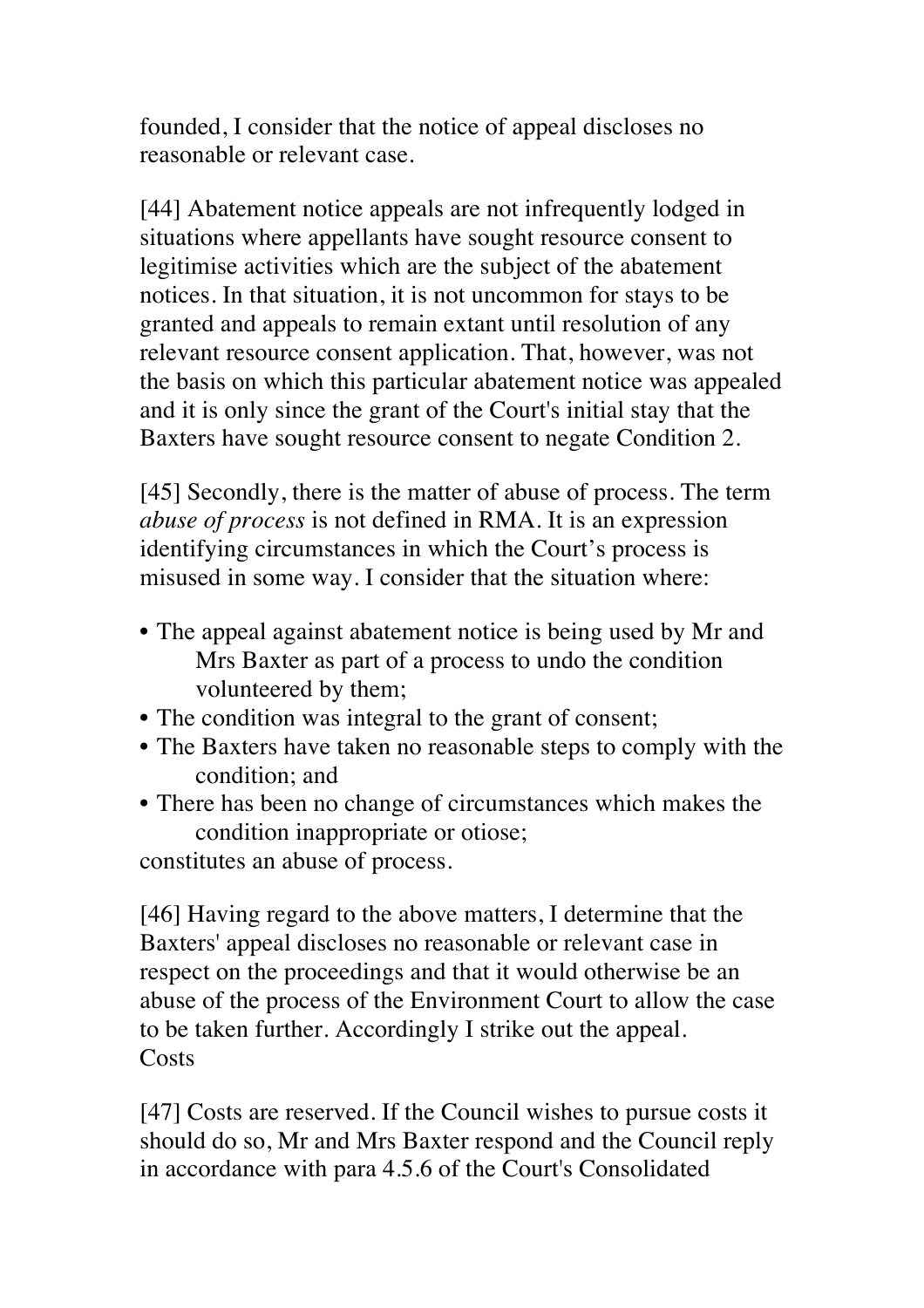founded, I consider that the notice of appeal discloses no reasonable or relevant case.

[44] Abatement notice appeals are not infrequently lodged in situations where appellants have sought resource consent to legitimise activities which are the subject of the abatement notices. In that situation, it is not uncommon for stays to be granted and appeals to remain extant until resolution of any relevant resource consent application. That, however, was not the basis on which this particular abatement notice was appealed and it is only since the grant of the Court's initial stay that the Baxters have sought resource consent to negate Condition 2.

[45] Secondly, there is the matter of abuse of process. The term *abuse of process* is not defined in RMA. It is an expression identifying circumstances in which the Court's process is misused in some way. I consider that the situation where:

- The appeal against abatement notice is being used by Mr and Mrs Baxter as part of a process to undo the condition volunteered by them;
- The condition was integral to the grant of consent;
- The Baxters have taken no reasonable steps to comply with the condition; and
- There has been no change of circumstances which makes the condition inappropriate or otiose;

constitutes an abuse of process.

[46] Having regard to the above matters, I determine that the Baxters' appeal discloses no reasonable or relevant case in respect on the proceedings and that it would otherwise be an abuse of the process of the Environment Court to allow the case to be taken further. Accordingly I strike out the appeal. **Costs** 

[47] Costs are reserved. If the Council wishes to pursue costs it should do so, Mr and Mrs Baxter respond and the Council reply in accordance with para 4.5.6 of the Court's Consolidated